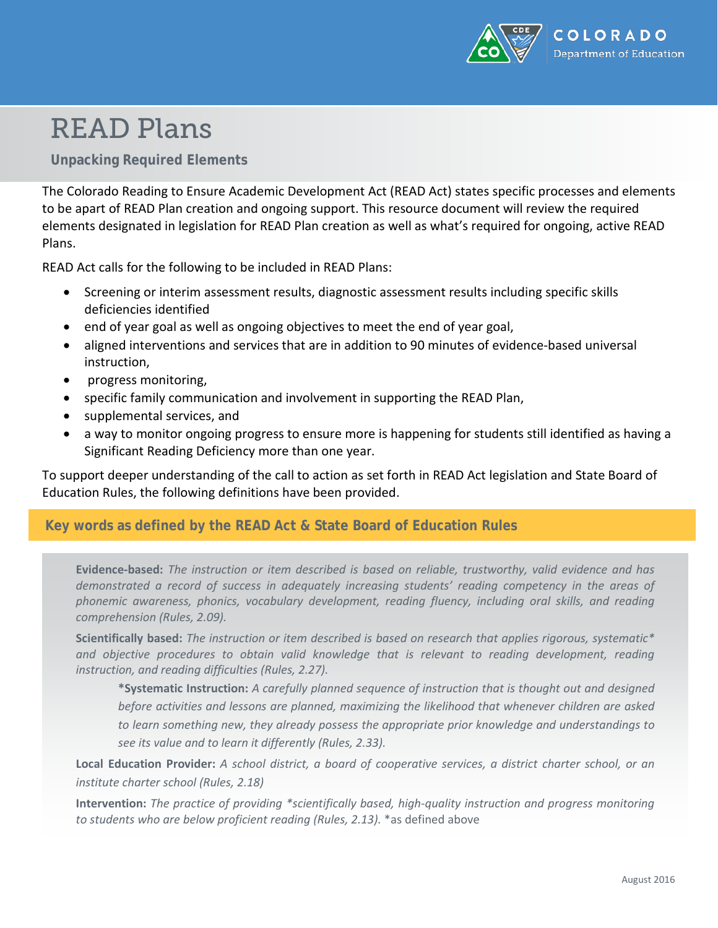

# READ Plans

#### **Unpacking Required Elements**

The Colorado Reading to Ensure Academic Development Act (READ Act) states specific processes and elements to be apart of READ Plan creation and ongoing support. This resource document will review the required elements designated in legislation for READ Plan creation as well as what's required for ongoing, active READ Plans.

READ Act calls for the following to be included in READ Plans:

- Screening or interim assessment results, diagnostic assessment results including specific skills deficiencies identified
- end of year goal as well as ongoing objectives to meet the end of year goal,
- aligned interventions and services that are in addition to 90 minutes of evidence-based universal instruction,
- progress monitoring,
- specific family communication and involvement in supporting the READ Plan,
- supplemental services, and
- a way to monitor ongoing progress to ensure more is happening for students still identified as having a Significant Reading Deficiency more than one year.

To support deeper understanding of the call to action as set forth in READ Act legislation and State Board of Education Rules, the following definitions have been provided.

#### **Key words as defined by the READ Act & State Board of Education Rules**

**Evidence-based:** *The instruction or item described is based on reliable, trustworthy, valid evidence and has demonstrated a record of success in adequately increasing students' reading competency in the areas of phonemic awareness, phonics, vocabulary development, reading fluency, including oral skills, and reading comprehension (Rules, 2.09).*

**Scientifically based:** *The instruction or item described is based on research that applies rigorous, systematic\**  and objective procedures to obtain valid knowledge that is relevant to reading development, reading *instruction, and reading difficulties (Rules, 2.27).*

**\*Systematic Instruction:** *A carefully planned sequence of instruction that is thought out and designed before activities and lessons are planned, maximizing the likelihood that whenever children are asked to learn something new, they already possess the appropriate prior knowledge and understandings to see its value and to learn it differently (Rules, 2.33).*

**Local Education Provider:** *A school district, a board of cooperative services, a district charter school, or an institute charter school (Rules, 2.18)*

**Intervention:** *The practice of providing \*scientifically based, high-quality instruction and progress monitoring to students who are below proficient reading (Rules, 2.13).* \*as defined above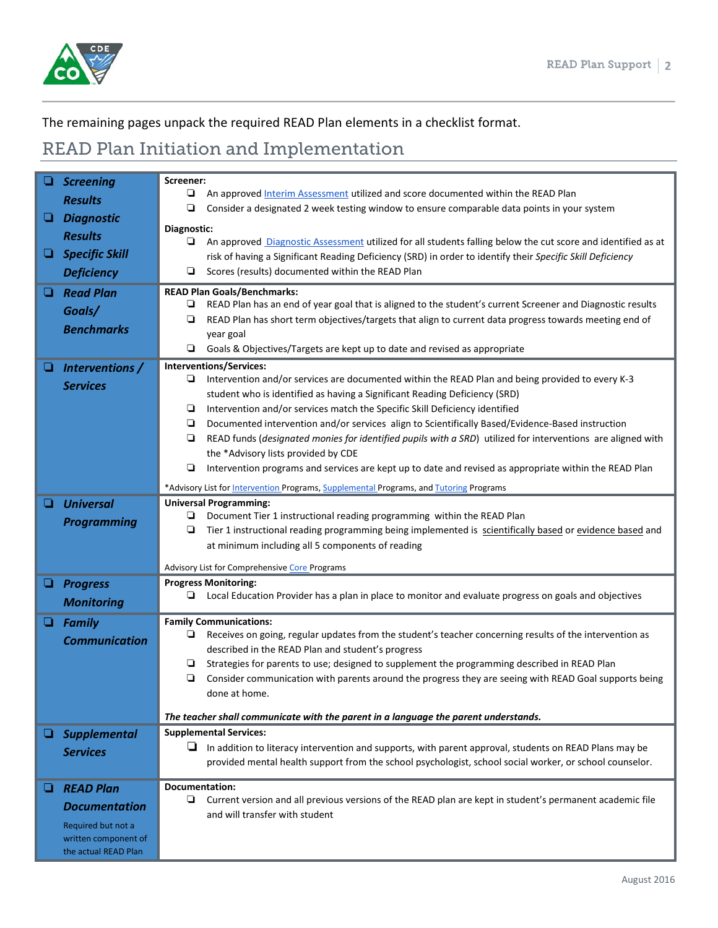

### The remaining pages unpack the required READ Plan elements in a checklist format.

## READ Plan Initiation and Implementation

|   | <b>Screening</b>      | Screener:                                                                                                          |
|---|-----------------------|--------------------------------------------------------------------------------------------------------------------|
|   | <b>Results</b>        | ❏<br>An approved Interim Assessment utilized and score documented within the READ Plan                             |
|   | <b>Diagnostic</b>     | ❏<br>Consider a designated 2 week testing window to ensure comparable data points in your system                   |
|   |                       | Diagnostic:                                                                                                        |
|   | <b>Results</b>        | Q.<br>An approved Diagnostic Assessment utilized for all students falling below the cut score and identified as at |
| ❏ | <b>Specific Skill</b> | risk of having a Significant Reading Deficiency (SRD) in order to identify their Specific Skill Deficiency         |
|   | <b>Deficiency</b>     | ❏<br>Scores (results) documented within the READ Plan                                                              |
|   | <b>Read Plan</b>      | <b>READ Plan Goals/Benchmarks:</b>                                                                                 |
|   | Goals/                | READ Plan has an end of year goal that is aligned to the student's current Screener and Diagnostic results<br>❏    |
|   | <b>Benchmarks</b>     | READ Plan has short term objectives/targets that align to current data progress towards meeting end of<br>❏        |
|   |                       | year goal                                                                                                          |
|   |                       | Goals & Objectives/Targets are kept up to date and revised as appropriate                                          |
|   | Interventions /       | Interventions/Services:                                                                                            |
|   | <b>Services</b>       | ❏<br>Intervention and/or services are documented within the READ Plan and being provided to every K-3              |
|   |                       | student who is identified as having a Significant Reading Deficiency (SRD)                                         |
|   |                       | Intervention and/or services match the Specific Skill Deficiency identified<br>❏                                   |
|   |                       | Documented intervention and/or services align to Scientifically Based/Evidence-Based instruction<br>❏              |
|   |                       | READ funds (designated monies for identified pupils with a SRD) utilized for interventions are aligned with<br>❏   |
|   |                       | the *Advisory lists provided by CDE                                                                                |
|   |                       | ❏<br>Intervention programs and services are kept up to date and revised as appropriate within the READ Plan        |
|   |                       | *Advisory List for Intervention Programs, Supplemental Programs, and Tutoring Programs                             |
|   | <b>Universal</b>      | <b>Universal Programming:</b>                                                                                      |
|   | <b>Programming</b>    | Document Tier 1 instructional reading programming within the READ Plan<br>⊔                                        |
|   |                       | ❏<br>Tier 1 instructional reading programming being implemented is scientifically based or evidence based and      |
|   |                       | at minimum including all 5 components of reading                                                                   |
|   |                       | Advisory List for Comprehensive Core Programs                                                                      |
| ❏ | <b>Progress</b>       | <b>Progress Monitoring:</b>                                                                                        |
|   | <b>Monitoring</b>     | Local Education Provider has a plan in place to monitor and evaluate progress on goals and objectives              |
| ❏ | <b>Family</b>         | <b>Family Communications:</b>                                                                                      |
|   | <b>Communication</b>  | Receives on going, regular updates from the student's teacher concerning results of the intervention as<br>⊔       |
|   |                       | described in the READ Plan and student's progress                                                                  |
|   |                       | Strategies for parents to use; designed to supplement the programming described in READ Plan<br>❏                  |
|   |                       | $\Box$<br>Consider communication with parents around the progress they are seeing with READ Goal supports being    |
|   |                       | done at home.                                                                                                      |
|   |                       | The teacher shall communicate with the parent in a language the parent understands.                                |
|   | <b>Supplemental</b>   | <b>Supplemental Services:</b>                                                                                      |
|   | <b>Services</b>       | $\Box$ In addition to literacy intervention and supports, with parent approval, students on READ Plans may be      |
|   |                       | provided mental health support from the school psychologist, school social worker, or school counselor.            |
|   | <b>READ Plan</b>      | <b>Documentation:</b>                                                                                              |
|   |                       | Current version and all previous versions of the READ plan are kept in student's permanent academic file<br>⋼      |
|   | <b>Documentation</b>  | and will transfer with student                                                                                     |
|   | Required but not a    |                                                                                                                    |
|   | written component of  |                                                                                                                    |
|   | the actual READ Plan  |                                                                                                                    |